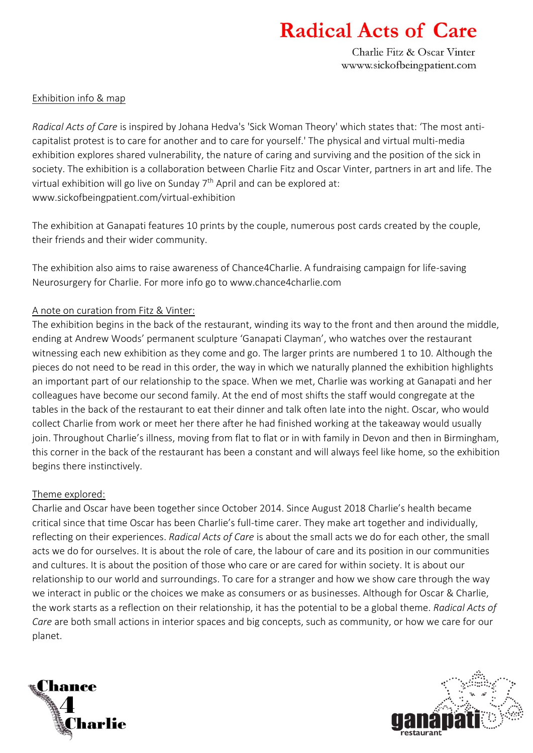# **Radical Acts of Care**

Charlie Fitz & Oscar Vinter www.sickofbeingpatient.com

### Exhibition info & map

*Radical Acts of Care* is inspired by Johana Hedva's 'Sick Woman Theory' which states that: 'The most anticapitalist protest is to care for another and to care for yourself.' The physical and virtual multi-media exhibition explores shared vulnerability, the nature of caring and surviving and the position of the sick in society. The exhibition is a collaboration between Charlie Fitz and Oscar Vinter, partners in art and life. The virtual exhibition will go live on Sunday 7<sup>th</sup> April and can be explored at: www.sickofbeingpatient.com/virtual-exhibition

The exhibition at Ganapati features 10 prints by the couple, numerous post cards created by the couple, their friends and their wider community.

The exhibition also aims to raise awareness of Chance4Charlie. A fundraising campaign for life-saving Neurosurgery for Charlie. For more info go to www.chance4charlie.com

## A note on curation from Fitz & Vinter:

The exhibition begins in the back of the restaurant, winding its way to the front and then around the middle, ending at Andrew Woods' permanent sculpture 'Ganapati Clayman', who watches over the restaurant witnessing each new exhibition as they come and go. The larger prints are numbered 1 to 10. Although the pieces do not need to be read in this order, the way in which we naturally planned the exhibition highlights an important part of our relationship to the space. When we met, Charlie was working at Ganapati and her colleagues have become our second family. At the end of most shifts the staff would congregate at the tables in the back of the restaurant to eat their dinner and talk often late into the night. Oscar, who would collect Charlie from work or meet her there after he had finished working at the takeaway would usually join. Throughout Charlie's illness, moving from flat to flat or in with family in Devon and then in Birmingham, this corner in the back of the restaurant has been a constant and will always feel like home, so the exhibition begins there instinctively.

### Theme explored:

Charlie and Oscar have been together since October 2014. Since August 2018 Charlie's health became critical since that time Oscar has been Charlie's full-time carer. They make art together and individually, reflecting on their experiences. *Radical Acts of Care* is about the small acts we do for each other, the small acts we do for ourselves. It is about the role of care, the labour of care and its position in our communities and cultures. It is about the position of those who care or are cared for within society. It is about our relationship to our world and surroundings. To care for a stranger and how we show care through the way we interact in public or the choices we make as consumers or as businesses. Although for Oscar & Charlie, the work starts as a reflection on their relationship, it has the potential to be a global theme. *Radical Acts of Care* are both small actions in interior spaces and big concepts, such as community, or how we care for our planet.